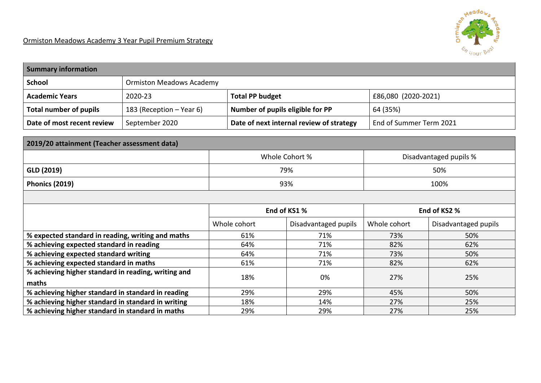| <b>Summary information</b>                          |                                 |                                          |                      |                         |                      |  |
|-----------------------------------------------------|---------------------------------|------------------------------------------|----------------------|-------------------------|----------------------|--|
| <b>School</b>                                       | <b>Ormiston Meadows Academy</b> |                                          |                      |                         |                      |  |
| <b>Academic Years</b>                               | 2020-23                         | <b>Total PP budget</b>                   |                      | £86,080 (2020-2021)     |                      |  |
| <b>Total number of pupils</b>                       | 183 (Reception – Year 6)        | Number of pupils eligible for PP         |                      | 64 (35%)                |                      |  |
| Date of most recent review                          | September 2020                  | Date of next internal review of strategy |                      | End of Summer Term 2021 |                      |  |
|                                                     |                                 |                                          |                      |                         |                      |  |
| 2019/20 attainment (Teacher assessment data)        |                                 |                                          |                      |                         |                      |  |
| Whole Cohort %<br>Disadvantaged pupils %            |                                 |                                          |                      |                         |                      |  |
| GLD (2019)                                          |                                 | 79%                                      |                      | 50%                     |                      |  |
| <b>Phonics (2019)</b>                               |                                 | 93%                                      |                      | 100%                    |                      |  |
|                                                     |                                 |                                          |                      |                         |                      |  |
|                                                     |                                 |                                          | End of KS1 %         |                         | End of KS2 %         |  |
|                                                     |                                 | Whole cohort                             | Disadvantaged pupils | Whole cohort            | Disadvantaged pupils |  |
| % expected standard in reading, writing and maths   |                                 | 61%                                      | 71%                  | 73%                     | 50%                  |  |
| % achieving expected standard in reading            |                                 | 64%                                      | 71%                  | 82%                     | 62%                  |  |
| % achieving expected standard writing               |                                 | 64%                                      | 71%                  | 73%                     | 50%                  |  |
| % achieving expected standard in maths              |                                 | 61%                                      | 71%                  | 82%                     | 62%                  |  |
| % achieving higher standard in reading, writing and |                                 | 18%                                      | 0%                   | 27%                     | 25%                  |  |
| maths                                               |                                 |                                          |                      |                         |                      |  |
| % achieving higher standard in standard in reading  |                                 | 29%                                      | 29%                  | 45%                     | 50%                  |  |
| % achieving higher standard in standard in writing  |                                 | 18%                                      | 14%                  | 27%                     | 25%                  |  |
| % achieving higher standard in standard in maths    |                                 | 29%                                      | 29%                  | 27%                     | 25%                  |  |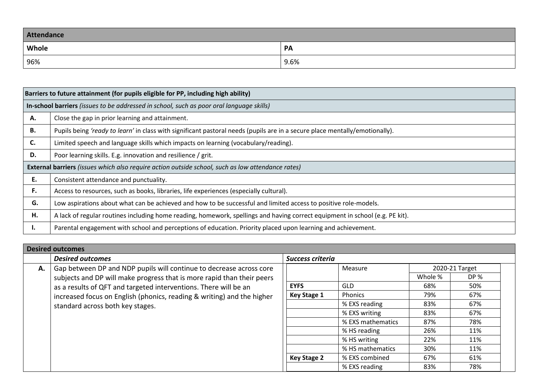| Attendance   |      |  |  |
|--------------|------|--|--|
| <b>Whole</b> | PA   |  |  |
| 96%          | 9.6% |  |  |

|    | Barriers to future attainment (for pupils eligible for PP, including high ability)                                           |
|----|------------------------------------------------------------------------------------------------------------------------------|
|    | In-school barriers (issues to be addressed in school, such as poor oral language skills)                                     |
| А. | Close the gap in prior learning and attainment.                                                                              |
| В. | Pupils being 'ready to learn' in class with significant pastoral needs (pupils are in a secure place mentally/emotionally).  |
| C. | Limited speech and language skills which impacts on learning (vocabulary/reading).                                           |
| D. | Poor learning skills. E.g. innovation and resilience / grit.                                                                 |
|    | External barriers (issues which also require action outside school, such as low attendance rates)                            |
| E. | Consistent attendance and punctuality.                                                                                       |
| F. | Access to resources, such as books, libraries, life experiences (especially cultural).                                       |
| G. | Low aspirations about what can be achieved and how to be successful and limited access to positive role-models.              |
| Н. | A lack of regular routines including home reading, homework, spellings and having correct equipment in school (e.g. PE kit). |
| ι. | Parental engagement with school and perceptions of education. Priority placed upon learning and achievement.                 |

|    | <b>Desired outcomes</b>                                                |                    |                   |         |                |
|----|------------------------------------------------------------------------|--------------------|-------------------|---------|----------------|
|    | <b>Desired outcomes</b>                                                | Success criteria   |                   |         |                |
| А. | Gap between DP and NDP pupils will continue to decrease across core    |                    | Measure           |         | 2020-21 Target |
|    | subjects and DP will make progress that is more rapid than their peers |                    |                   | Whole % | DP %           |
|    | as a results of QFT and targeted interventions. There will be an       | <b>EYFS</b>        | <b>GLD</b>        | 68%     | 50%            |
|    | increased focus on English (phonics, reading & writing) and the higher |                    | Phonics           | 79%     | 67%            |
|    | standard across both key stages.                                       |                    | % EXS reading     | 83%     | 67%            |
|    |                                                                        |                    | % EXS writing     | 83%     | 67%            |
|    |                                                                        |                    | % EXS mathematics | 87%     | 78%            |
|    |                                                                        |                    | % HS reading      | 26%     | 11%            |
|    |                                                                        |                    | % HS writing      | 22%     | 11%            |
|    |                                                                        |                    | % HS mathematics  | 30%     | 11%            |
|    |                                                                        | <b>Key Stage 2</b> | % EXS combined    | 67%     | 61%            |
|    |                                                                        |                    | % EXS reading     | 83%     | 78%            |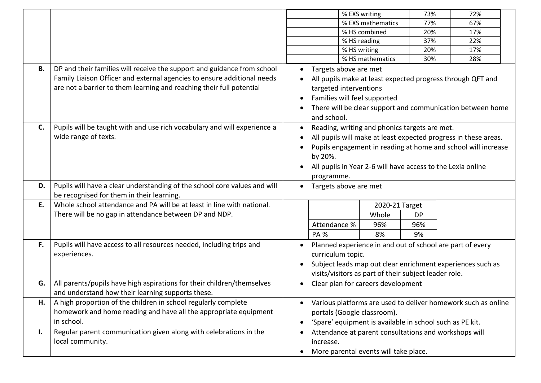|           |                                                                                                                                                                                                                            | % EXS writing<br>73%<br>72%                                                                                                                                                                                                                                                                         |  |  |  |
|-----------|----------------------------------------------------------------------------------------------------------------------------------------------------------------------------------------------------------------------------|-----------------------------------------------------------------------------------------------------------------------------------------------------------------------------------------------------------------------------------------------------------------------------------------------------|--|--|--|
|           |                                                                                                                                                                                                                            | % EXS mathematics<br>77%<br>67%                                                                                                                                                                                                                                                                     |  |  |  |
|           |                                                                                                                                                                                                                            | % HS combined<br>20%<br>17%                                                                                                                                                                                                                                                                         |  |  |  |
|           |                                                                                                                                                                                                                            | % HS reading<br>37%<br>22%                                                                                                                                                                                                                                                                          |  |  |  |
|           |                                                                                                                                                                                                                            | % HS writing<br>20%<br>17%                                                                                                                                                                                                                                                                          |  |  |  |
|           |                                                                                                                                                                                                                            | % HS mathematics<br>30%<br>28%                                                                                                                                                                                                                                                                      |  |  |  |
| <b>B.</b> | DP and their families will receive the support and guidance from school<br>Family Liaison Officer and external agencies to ensure additional needs<br>are not a barrier to them learning and reaching their full potential | Targets above are met<br>All pupils make at least expected progress through QFT and<br>targeted interventions<br>Families will feel supported<br>There will be clear support and communication between home<br>and school.                                                                          |  |  |  |
| C.        | Pupils will be taught with and use rich vocabulary and will experience a<br>wide range of texts.                                                                                                                           | Reading, writing and phonics targets are met.<br>$\bullet$<br>All pupils will make at least expected progress in these areas.<br>Pupils engagement in reading at home and school will increase<br>by 20%.<br>All pupils in Year 2-6 will have access to the Lexia online<br>$\bullet$<br>programme. |  |  |  |
| D.        | Pupils will have a clear understanding of the school core values and will<br>be recognised for them in their learning.                                                                                                     | Targets above are met<br>$\bullet$                                                                                                                                                                                                                                                                  |  |  |  |
| E.        | Whole school attendance and PA will be at least in line with national.<br>There will be no gap in attendance between DP and NDP.                                                                                           | 2020-21 Target<br>Whole<br><b>DP</b><br>Attendance %<br>96%<br>96%<br><b>PA%</b><br>8%<br>9%                                                                                                                                                                                                        |  |  |  |
| F.        | Pupils will have access to all resources needed, including trips and<br>experiences.                                                                                                                                       | Planned experience in and out of school are part of every<br>curriculum topic.<br>Subject leads map out clear enrichment experiences such as<br>visits/visitors as part of their subject leader role.                                                                                               |  |  |  |
| G.        | All parents/pupils have high aspirations for their children/themselves<br>and understand how their learning supports these.                                                                                                | Clear plan for careers development                                                                                                                                                                                                                                                                  |  |  |  |
| Н.        | A high proportion of the children in school regularly complete<br>homework and home reading and have all the appropriate equipment<br>in school.                                                                           | Various platforms are used to deliver homework such as online<br>portals (Google classroom).<br>'Spare' equipment is available in school such as PE kit.<br>$\bullet$                                                                                                                               |  |  |  |
| I.        | Regular parent communication given along with celebrations in the<br>local community.                                                                                                                                      | Attendance at parent consultations and workshops will<br>$\bullet$<br>increase.<br>More parental events will take place.<br>$\bullet$                                                                                                                                                               |  |  |  |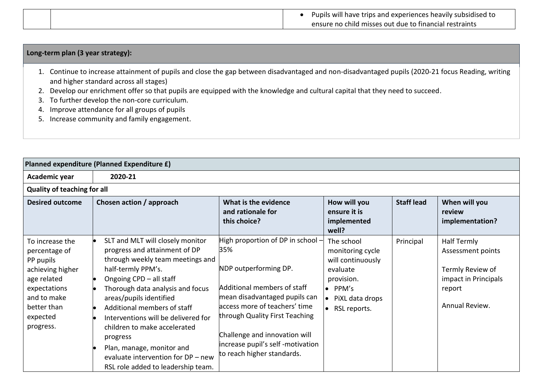| Pupils will have trips and experiences heavily subsidised to |
|--------------------------------------------------------------|
| ensure no child misses out due to financial restraints       |

## **Long-term plan (3 year strategy):**

- 1. Continue to increase attainment of pupils and close the gap between disadvantaged and non-disadvantaged pupils (2020-21 focus Reading, writing and higher standard across all stages)
- 2. Develop our enrichment offer so that pupils are equipped with the knowledge and cultural capital that they need to succeed.
- 3. To further develop the non-core curriculum.
- 4. Improve attendance for all groups of pupils
- 5. Increase community and family engagement.

| Planned expenditure (Planned Expenditure £)                                                                                                             |                                                                                                                                                                                                                                                                                                                                                                                                                                                  |                                                                                                                                                                                                                                                                                                          |                                                                                                                                                  |                   |                                                                                                                 |
|---------------------------------------------------------------------------------------------------------------------------------------------------------|--------------------------------------------------------------------------------------------------------------------------------------------------------------------------------------------------------------------------------------------------------------------------------------------------------------------------------------------------------------------------------------------------------------------------------------------------|----------------------------------------------------------------------------------------------------------------------------------------------------------------------------------------------------------------------------------------------------------------------------------------------------------|--------------------------------------------------------------------------------------------------------------------------------------------------|-------------------|-----------------------------------------------------------------------------------------------------------------|
| Academic year                                                                                                                                           | 2020-21                                                                                                                                                                                                                                                                                                                                                                                                                                          |                                                                                                                                                                                                                                                                                                          |                                                                                                                                                  |                   |                                                                                                                 |
| <b>Quality of teaching for all</b>                                                                                                                      |                                                                                                                                                                                                                                                                                                                                                                                                                                                  |                                                                                                                                                                                                                                                                                                          |                                                                                                                                                  |                   |                                                                                                                 |
| <b>Desired outcome</b>                                                                                                                                  | Chosen action / approach                                                                                                                                                                                                                                                                                                                                                                                                                         | What is the evidence<br>and rationale for<br>this choice?                                                                                                                                                                                                                                                | How will you<br>ensure it is<br>implemented<br>well?                                                                                             | <b>Staff lead</b> | When will you<br>review<br>implementation?                                                                      |
| To increase the<br>percentage of<br>PP pupils<br>achieving higher<br>age related<br>expectations<br>and to make<br>better than<br>expected<br>progress. | SLT and MLT will closely monitor<br>progress and attainment of DP<br>through weekly team meetings and<br>half-termly PPM's.<br>Ongoing CPD - all staff<br>Thorough data analysis and focus<br>areas/pupils identified<br>Additional members of staff<br>Interventions will be delivered for<br>children to make accelerated<br>progress<br>Plan, manage, monitor and<br>evaluate intervention for DP - new<br>RSL role added to leadership team. | High proportion of DP in school -<br>35%<br>NDP outperforming DP.<br>Additional members of staff<br>mean disadvantaged pupils can<br>access more of teachers' time<br>through Quality First Teaching<br>Challenge and innovation will<br>increase pupil's self -motivation<br>to reach higher standards. | The school<br>monitoring cycle<br>will continuously<br>evaluate<br>provision.<br>$\bullet$ PPM's<br>PiXL data drops<br>$\bullet$<br>RSL reports. | Principal         | <b>Half Termly</b><br>Assessment points<br>Termly Review of<br>impact in Principals<br>report<br>Annual Review. |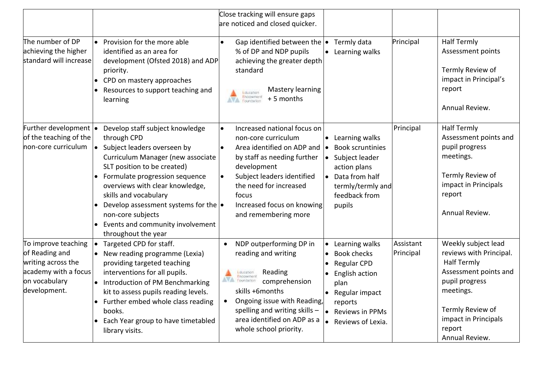| The number of DP                                                                                                     | Provision for the more able                                                                                                                                                                                                                                                                                                                                                     | Close tracking will ensure gaps<br>are noticed and closed quicker.<br>Gap identified between the $\bullet$<br>$\bullet$                                                                                                                                                                      | Termly data                                                                                                                                                   | Principal              | <b>Half Termly</b>                                                                                                                                                                                   |
|----------------------------------------------------------------------------------------------------------------------|---------------------------------------------------------------------------------------------------------------------------------------------------------------------------------------------------------------------------------------------------------------------------------------------------------------------------------------------------------------------------------|----------------------------------------------------------------------------------------------------------------------------------------------------------------------------------------------------------------------------------------------------------------------------------------------|---------------------------------------------------------------------------------------------------------------------------------------------------------------|------------------------|------------------------------------------------------------------------------------------------------------------------------------------------------------------------------------------------------|
| achieving the higher<br>standard will increase                                                                       | identified as an area for<br>development (Ofsted 2018) and ADP<br>priority.<br>CPD on mastery approaches<br>Resources to support teaching and<br>learning                                                                                                                                                                                                                       | % of DP and NDP pupils<br>achieving the greater depth<br>standard<br>Mastery learning<br>Education<br>Endowment<br>+5 months<br>Foundation                                                                                                                                                   | • Learning walks                                                                                                                                              |                        | Assessment points<br>Termly Review of<br>impact in Principal's<br>report<br>Annual Review.                                                                                                           |
| Further development  .<br>of the teaching of the<br>non-core curriculum                                              | Develop staff subject knowledge<br>through CPD<br>Subject leaders overseen by<br>Curriculum Manager (new associate<br>SLT position to be created)<br>Formulate progression sequence<br>overviews with clear knowledge,<br>skills and vocabulary<br>Develop assessment systems for the $\bullet$<br>non-core subjects<br>Events and community involvement<br>throughout the year | Increased national focus on<br>$\bullet$<br>non-core curriculum<br>Area identified on ADP and<br>$\bullet$<br>by staff as needing further<br>development<br>Subject leaders identified<br>$\bullet$<br>the need for increased<br>focus<br>Increased focus on knowing<br>and remembering more | • Learning walks<br><b>Book scruntinies</b><br>Subject leader<br>action plans<br>• Data from half<br>termly/termly and<br>feedback from<br>pupils             | Principal              | <b>Half Termly</b><br>Assessment points and<br>pupil progress<br>meetings.<br>Termly Review of<br>impact in Principals<br>report<br>Annual Review.                                                   |
| To improve teaching<br>of Reading and<br>writing across the<br>academy with a focus<br>on vocabulary<br>development. | Targeted CPD for staff.<br>New reading programme (Lexia)<br>providing targeted teaching<br>interventions for all pupils.<br>Introduction of PM Benchmarking<br>kit to assess pupils reading levels.<br>Further embed whole class reading<br>books.<br>Each Year group to have timetabled<br>library visits.                                                                     | NDP outperforming DP in<br>reading and writing<br>Reading<br>Education<br>Endowment<br>Foundation:<br>comprehension<br>skills +6months<br>Ongoing issue with Reading,<br>spelling and writing skills $-$<br>area identified on ADP as a<br>whole school priority.                            | Learning walks<br><b>Book checks</b><br><b>Regular CPD</b><br>English action<br>plan<br>• Regular impact<br>reports<br>• Reviews in PPMs<br>Reviews of Lexia. | Assistant<br>Principal | Weekly subject lead<br>reviews with Principal.<br><b>Half Termly</b><br>Assessment points and<br>pupil progress<br>meetings.<br>Termly Review of<br>impact in Principals<br>report<br>Annual Review. |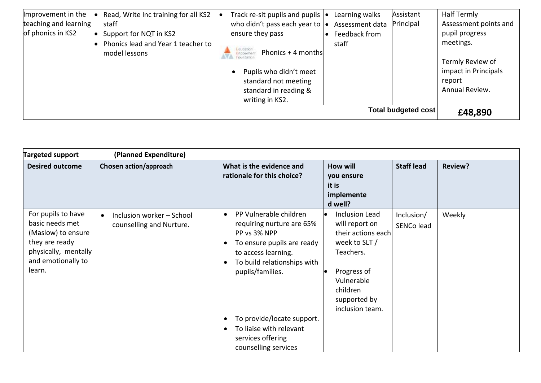| Improvement in the             | Read, Write Inc training for all KS2 | Track re-sit pupils and pupils $\vert \bullet \vert$ | Learning walks  | Assistant | Half Termly           |
|--------------------------------|--------------------------------------|------------------------------------------------------|-----------------|-----------|-----------------------|
| teaching and learning          | staff                                | who didn't pass each year to $\cdot$                 | Assessment data | Principal | Assessment points and |
| of phonics in KS2              | Support for NQT in KS2               | ensure they pass                                     | Feedback from   |           | pupil progress        |
|                                | Phonics lead and Year 1 teacher to   |                                                      | staff           |           | meetings.             |
|                                | model lessons                        | <b>Education</b><br>Phonics + 4 months<br>Endowmen   |                 |           |                       |
|                                |                                      |                                                      |                 |           | Termly Review of      |
|                                |                                      | Pupils who didn't meet                               |                 |           | impact in Principals  |
|                                |                                      | standard not meeting                                 |                 |           | report                |
|                                |                                      | standard in reading &                                |                 |           | Annual Review.        |
|                                |                                      | writing in KS2.                                      |                 |           |                       |
| Total budgeted cost<br>£48,890 |                                      |                                                      |                 |           |                       |

| <b>Targeted support</b>                                                                                                               | (Planned Expenditure)                                              |                                                                                                                                                                                                                                                                                                                                                    |                                                                                                                                                                         |                          |                |
|---------------------------------------------------------------------------------------------------------------------------------------|--------------------------------------------------------------------|----------------------------------------------------------------------------------------------------------------------------------------------------------------------------------------------------------------------------------------------------------------------------------------------------------------------------------------------------|-------------------------------------------------------------------------------------------------------------------------------------------------------------------------|--------------------------|----------------|
| <b>Desired outcome</b>                                                                                                                | Chosen action/approach                                             | What is the evidence and<br>rationale for this choice?                                                                                                                                                                                                                                                                                             | <b>How will</b><br>you ensure<br>it is<br>implemente<br>d well?                                                                                                         | <b>Staff lead</b>        | <b>Review?</b> |
| For pupils to have<br>basic needs met<br>(Maslow) to ensure<br>they are ready<br>physically, mentally<br>and emotionally to<br>learn. | Inclusion worker - School<br>$\bullet$<br>counselling and Nurture. | PP Vulnerable children<br>$\bullet$<br>requiring nurture are 65%<br>PP vs 3% NPP<br>To ensure pupils are ready<br>$\bullet$<br>to access learning.<br>To build relationships with<br>$\bullet$<br>pupils/families.<br>To provide/locate support.<br>$\bullet$<br>To liaise with relevant<br>$\bullet$<br>services offering<br>counselling services | <b>Inclusion Lead</b><br>will report on<br>their actions each<br>week to SLT /<br>Teachers.<br>Progress of<br>Vulnerable<br>children<br>supported by<br>inclusion team. | Inclusion/<br>SENCo lead | Weekly         |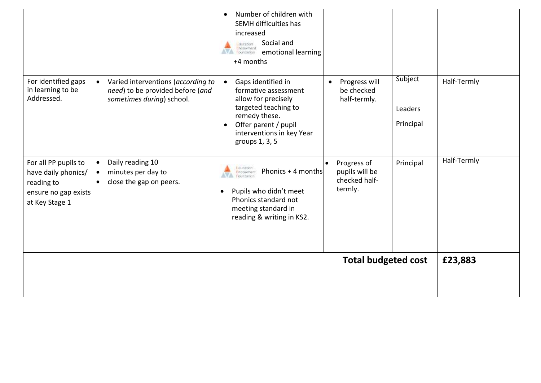|                                                                                                     |                                                                                                     | Number of children with<br>$\bullet$<br>SEMH difficulties has<br>increased<br>Social and<br>Education<br>Endowment<br>AVA Foundation<br>emotional learning<br>+4 months                                     |                                                           |                                 |             |
|-----------------------------------------------------------------------------------------------------|-----------------------------------------------------------------------------------------------------|-------------------------------------------------------------------------------------------------------------------------------------------------------------------------------------------------------------|-----------------------------------------------------------|---------------------------------|-------------|
| For identified gaps<br>in learning to be<br>Addressed.                                              | Varied interventions (according to<br>need) to be provided before (and<br>sometimes during) school. | Gaps identified in<br>$\bullet$<br>formative assessment<br>allow for precisely<br>targeted teaching to<br>remedy these.<br>Offer parent / pupil<br>$\bullet$<br>interventions in key Year<br>groups 1, 3, 5 | Progress will<br>$\bullet$<br>be checked<br>half-termly.  | Subject<br>Leaders<br>Principal | Half-Termly |
| For all PP pupils to<br>have daily phonics/<br>reading to<br>ensure no gap exists<br>at Key Stage 1 | Daily reading 10<br>minutes per day to<br>close the gap on peers.                                   | Education<br>Encowment<br>Phonics + 4 months<br>AVA Foundation<br>Pupils who didn't meet<br>$\bullet$<br>Phonics standard not<br>meeting standard in<br>reading & writing in KS2.                           | Progress of<br>pupils will be<br>checked half-<br>termly. | Principal                       | Half-Termly |
|                                                                                                     |                                                                                                     |                                                                                                                                                                                                             | <b>Total budgeted cost</b>                                |                                 | £23,883     |
|                                                                                                     |                                                                                                     |                                                                                                                                                                                                             |                                                           |                                 |             |